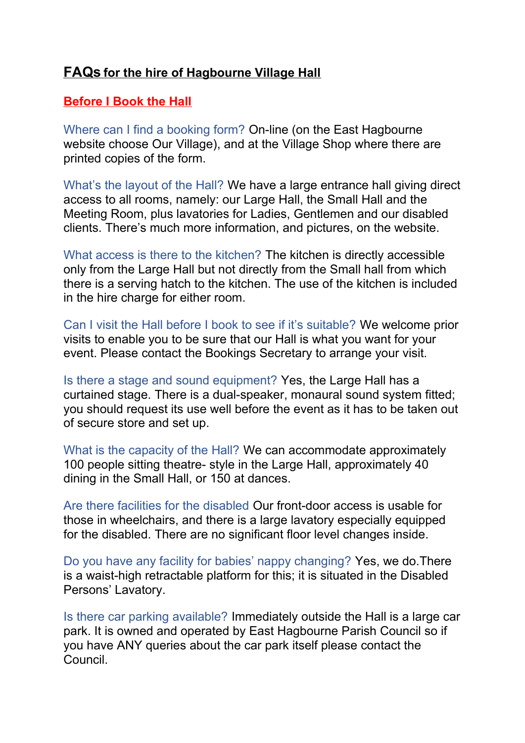# **FAQs for the hire of Hagbourne Village Hall**

#### **Before I Book the Hall**

Where can I find a booking form? On-line (on the East Hagbourne website choose Our Village), and at the Village Shop where there are printed copies of the form.

What's the layout of the Hall? We have a large entrance hall giving direct access to all rooms, namely: our Large Hall, the Small Hall and the Meeting Room, plus lavatories for Ladies, Gentlemen and our disabled clients. There's much more information, and pictures, on the website.

What access is there to the kitchen? The kitchen is directly accessible only from the Large Hall but not directly from the Small hall from which there is a serving hatch to the kitchen. The use of the kitchen is included in the hire charge for either room.

Can I visit the Hall before I book to see if it's suitable? We welcome prior visits to enable you to be sure that our Hall is what you want for your event. Please contact the Bookings Secretary to arrange your visit.

Is there a stage and sound equipment? Yes, the Large Hall has a curtained stage. There is a dual-speaker, monaural sound system fitted; you should request its use well before the event as it has to be taken out of secure store and set up.

What is the capacity of the Hall? We can accommodate approximately 100 people sitting theatre- style in the Large Hall, approximately 40 dining in the Small Hall, or 150 at dances.

Are there facilities for the disabled Our front-door access is usable for those in wheelchairs, and there is a large lavatory especially equipped for the disabled. There are no significant floor level changes inside.

Do you have any facility for babies' nappy changing? Yes, we do.There is a waist-high retractable platform for this; it is situated in the Disabled Persons' Lavatory.

Is there car parking available? Immediately outside the Hall is a large car park. It is owned and operated by East Hagbourne Parish Council so if you have ANY queries about the car park itself please contact the **Council**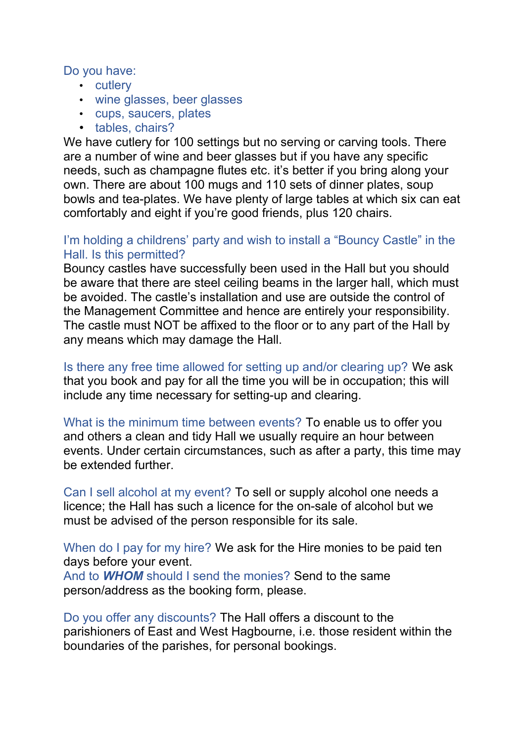Do you have:

- cutlery
- wine glasses, beer glasses
- cups, saucers, plates
- tables, chairs?

We have cutlery for 100 settings but no serving or carving tools. There are a number of wine and beer glasses but if you have any specific needs, such as champagne flutes etc. it's better if you bring along your own. There are about 100 mugs and 110 sets of dinner plates, soup bowls and tea-plates. We have plenty of large tables at which six can eat comfortably and eight if you're good friends, plus 120 chairs.

#### I'm holding a childrens' party and wish to install a "Bouncy Castle" in the Hall. Is this permitted?

Bouncy castles have successfully been used in the Hall but you should be aware that there are steel ceiling beams in the larger hall, which must be avoided. The castle's installation and use are outside the control of the Management Committee and hence are entirely your responsibility. The castle must NOT be affixed to the floor or to any part of the Hall by any means which may damage the Hall.

Is there any free time allowed for setting up and/or clearing up? We ask that you book and pay for all the time you will be in occupation; this will include any time necessary for setting-up and clearing.

What is the minimum time between events? To enable us to offer you and others a clean and tidy Hall we usually require an hour between events. Under certain circumstances, such as after a party, this time may be extended further.

Can I sell alcohol at my event? To sell or supply alcohol one needs a licence; the Hall has such a licence for the on-sale of alcohol but we must be advised of the person responsible for its sale.

When do I pay for my hire? We ask for the Hire monies to be paid ten days before your event.

And to *WHOM* should I send the monies? Send to the same person/address as the booking form, please.

Do you offer any discounts? The Hall offers a discount to the parishioners of East and West Hagbourne, i.e. those resident within the boundaries of the parishes, for personal bookings.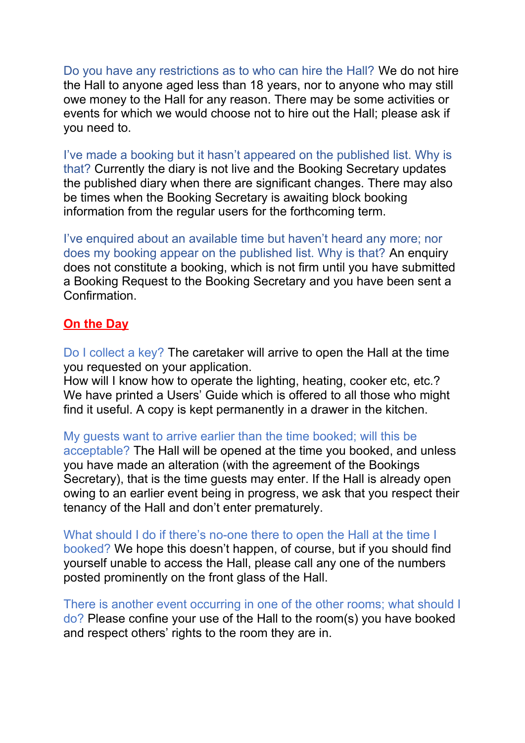Do you have any restrictions as to who can hire the Hall? We do not hire the Hall to anyone aged less than 18 years, nor to anyone who may still owe money to the Hall for any reason. There may be some activities or events for which we would choose not to hire out the Hall; please ask if you need to.

I've made a booking but it hasn't appeared on the published list. Why is that? Currently the diary is not live and the Booking Secretary updates the published diary when there are significant changes. There may also be times when the Booking Secretary is awaiting block booking information from the regular users for the forthcoming term.

I've enquired about an available time but haven't heard any more; nor does my booking appear on the published list. Why is that? An enquiry does not constitute a booking, which is not firm until you have submitted a Booking Request to the Booking Secretary and you have been sent a **Confirmation** 

## **On the Day**

Do I collect a key? The caretaker will arrive to open the Hall at the time you requested on your application.

How will I know how to operate the lighting, heating, cooker etc, etc.? We have printed a Users' Guide which is offered to all those who might find it useful. A copy is kept permanently in a drawer in the kitchen.

My guests want to arrive earlier than the time booked; will this be acceptable? The Hall will be opened at the time you booked, and unless you have made an alteration (with the agreement of the Bookings Secretary), that is the time guests may enter. If the Hall is already open owing to an earlier event being in progress, we ask that you respect their tenancy of the Hall and don't enter prematurely.

What should I do if there's no-one there to open the Hall at the time I booked? We hope this doesn't happen, of course, but if you should find yourself unable to access the Hall, please call any one of the numbers posted prominently on the front glass of the Hall.

There is another event occurring in one of the other rooms; what should I do? Please confine your use of the Hall to the room(s) you have booked and respect others' rights to the room they are in.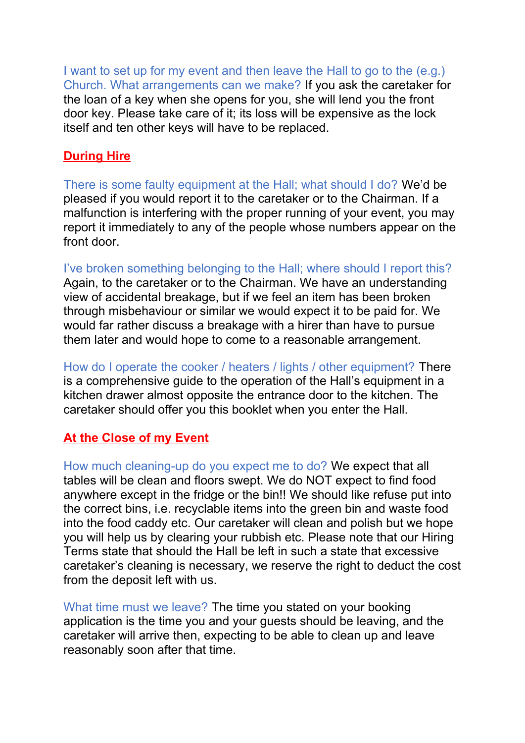I want to set up for my event and then leave the Hall to go to the (e.g.) Church. What arrangements can we make? If you ask the caretaker for the loan of a key when she opens for you, she will lend you the front door key. Please take care of it; its loss will be expensive as the lock itself and ten other keys will have to be replaced.

#### **During Hire**

There is some faulty equipment at the Hall; what should I do? We'd be pleased if you would report it to the caretaker or to the Chairman. If a malfunction is interfering with the proper running of your event, you may report it immediately to any of the people whose numbers appear on the front door.

I've broken something belonging to the Hall; where should I report this? Again, to the caretaker or to the Chairman. We have an understanding view of accidental breakage, but if we feel an item has been broken through misbehaviour or similar we would expect it to be paid for. We would far rather discuss a breakage with a hirer than have to pursue them later and would hope to come to a reasonable arrangement.

How do I operate the cooker / heaters / lights / other equipment? There is a comprehensive guide to the operation of the Hall's equipment in a kitchen drawer almost opposite the entrance door to the kitchen. The caretaker should offer you this booklet when you enter the Hall.

## **At the Close of my Event**

How much cleaning-up do you expect me to do? We expect that all tables will be clean and floors swept. We do NOT expect to find food anywhere except in the fridge or the bin!! We should like refuse put into the correct bins, i.e. recyclable items into the green bin and waste food into the food caddy etc. Our caretaker will clean and polish but we hope you will help us by clearing your rubbish etc. Please note that our Hiring Terms state that should the Hall be left in such a state that excessive caretaker's cleaning is necessary, we reserve the right to deduct the cost from the deposit left with us.

What time must we leave? The time you stated on your booking application is the time you and your guests should be leaving, and the caretaker will arrive then, expecting to be able to clean up and leave reasonably soon after that time.